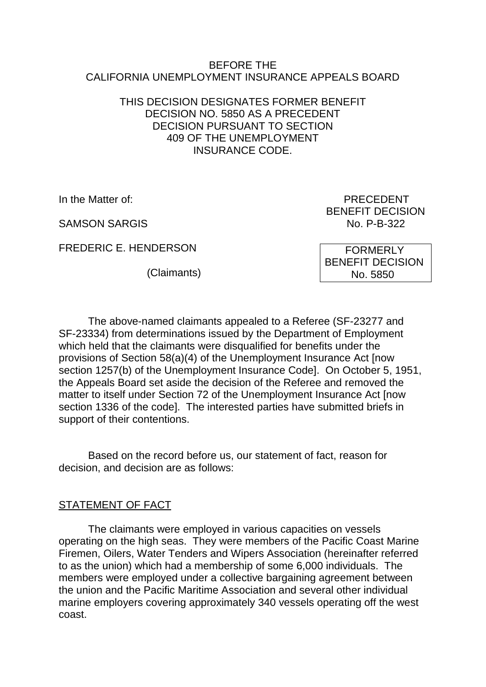#### BEFORE THE CALIFORNIA UNEMPLOYMENT INSURANCE APPEALS BOARD

### THIS DECISION DESIGNATES FORMER BENEFIT DECISION NO. 5850 AS A PRECEDENT DECISION PURSUANT TO SECTION 409 OF THE UNEMPLOYMENT INSURANCE CODE.

SAMSON SARGIS NO. P-B-322

FREDERIC E. HENDERSON

(Claimants)

In the Matter of: PRECEDENT BENEFIT DECISION

> FORMERLY BENEFIT DECISION No. 5850

The above-named claimants appealed to a Referee (SF-23277 and SF-23334) from determinations issued by the Department of Employment which held that the claimants were disqualified for benefits under the provisions of Section 58(a)(4) of the Unemployment Insurance Act [now section 1257(b) of the Unemployment Insurance Code]. On October 5, 1951, the Appeals Board set aside the decision of the Referee and removed the matter to itself under Section 72 of the Unemployment Insurance Act [now section 1336 of the code]. The interested parties have submitted briefs in support of their contentions.

Based on the record before us, our statement of fact, reason for decision, and decision are as follows:

## STATEMENT OF FACT

The claimants were employed in various capacities on vessels operating on the high seas. They were members of the Pacific Coast Marine Firemen, Oilers, Water Tenders and Wipers Association (hereinafter referred to as the union) which had a membership of some 6,000 individuals. The members were employed under a collective bargaining agreement between the union and the Pacific Maritime Association and several other individual marine employers covering approximately 340 vessels operating off the west coast.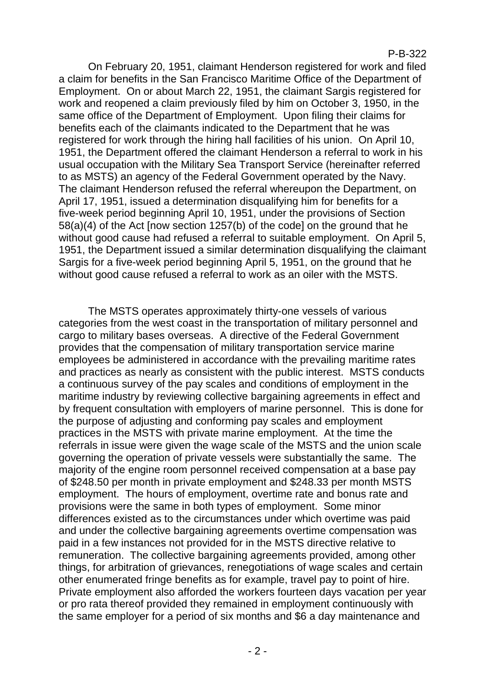#### P-B-322

On February 20, 1951, claimant Henderson registered for work and filed a claim for benefits in the San Francisco Maritime Office of the Department of Employment. On or about March 22, 1951, the claimant Sargis registered for work and reopened a claim previously filed by him on October 3, 1950, in the same office of the Department of Employment. Upon filing their claims for benefits each of the claimants indicated to the Department that he was registered for work through the hiring hall facilities of his union. On April 10, 1951, the Department offered the claimant Henderson a referral to work in his usual occupation with the Military Sea Transport Service (hereinafter referred to as MSTS) an agency of the Federal Government operated by the Navy. The claimant Henderson refused the referral whereupon the Department, on April 17, 1951, issued a determination disqualifying him for benefits for a five-week period beginning April 10, 1951, under the provisions of Section 58(a)(4) of the Act [now section 1257(b) of the code] on the ground that he without good cause had refused a referral to suitable employment. On April 5, 1951, the Department issued a similar determination disqualifying the claimant Sargis for a five-week period beginning April 5, 1951, on the ground that he without good cause refused a referral to work as an oiler with the MSTS.

The MSTS operates approximately thirty-one vessels of various categories from the west coast in the transportation of military personnel and cargo to military bases overseas. A directive of the Federal Government provides that the compensation of military transportation service marine employees be administered in accordance with the prevailing maritime rates and practices as nearly as consistent with the public interest. MSTS conducts a continuous survey of the pay scales and conditions of employment in the maritime industry by reviewing collective bargaining agreements in effect and by frequent consultation with employers of marine personnel. This is done for the purpose of adjusting and conforming pay scales and employment practices in the MSTS with private marine employment. At the time the referrals in issue were given the wage scale of the MSTS and the union scale governing the operation of private vessels were substantially the same. The majority of the engine room personnel received compensation at a base pay of \$248.50 per month in private employment and \$248.33 per month MSTS employment. The hours of employment, overtime rate and bonus rate and provisions were the same in both types of employment. Some minor differences existed as to the circumstances under which overtime was paid and under the collective bargaining agreements overtime compensation was paid in a few instances not provided for in the MSTS directive relative to remuneration. The collective bargaining agreements provided, among other things, for arbitration of grievances, renegotiations of wage scales and certain other enumerated fringe benefits as for example, travel pay to point of hire. Private employment also afforded the workers fourteen days vacation per year or pro rata thereof provided they remained in employment continuously with the same employer for a period of six months and \$6 a day maintenance and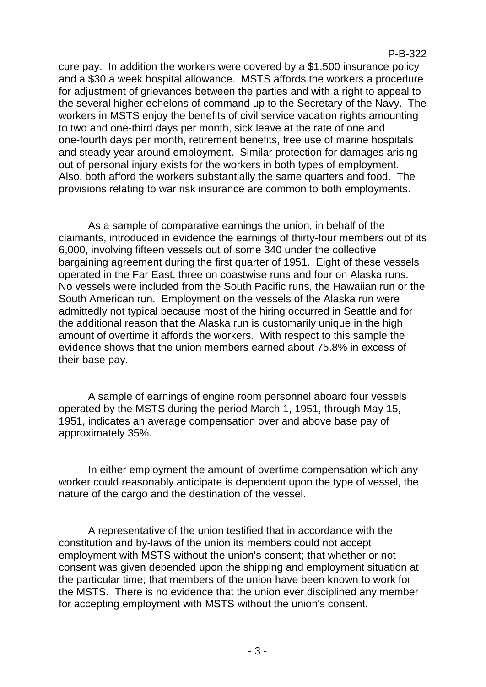cure pay. In addition the workers were covered by a \$1,500 insurance policy and a \$30 a week hospital allowance. MSTS affords the workers a procedure for adjustment of grievances between the parties and with a right to appeal to the several higher echelons of command up to the Secretary of the Navy. The workers in MSTS enjoy the benefits of civil service vacation rights amounting to two and one-third days per month, sick leave at the rate of one and one-fourth days per month, retirement benefits, free use of marine hospitals and steady year around employment. Similar protection for damages arising out of personal injury exists for the workers in both types of employment. Also, both afford the workers substantially the same quarters and food. The provisions relating to war risk insurance are common to both employments.

As a sample of comparative earnings the union, in behalf of the claimants, introduced in evidence the earnings of thirty-four members out of its 6,000, involving fifteen vessels out of some 340 under the collective bargaining agreement during the first quarter of 1951. Eight of these vessels operated in the Far East, three on coastwise runs and four on Alaska runs. No vessels were included from the South Pacific runs, the Hawaiian run or the South American run. Employment on the vessels of the Alaska run were admittedly not typical because most of the hiring occurred in Seattle and for the additional reason that the Alaska run is customarily unique in the high amount of overtime it affords the workers. With respect to this sample the evidence shows that the union members earned about 75.8% in excess of their base pay.

A sample of earnings of engine room personnel aboard four vessels operated by the MSTS during the period March 1, 1951, through May 15, 1951, indicates an average compensation over and above base pay of approximately 35%.

In either employment the amount of overtime compensation which any worker could reasonably anticipate is dependent upon the type of vessel, the nature of the cargo and the destination of the vessel.

A representative of the union testified that in accordance with the constitution and by-laws of the union its members could not accept employment with MSTS without the union's consent; that whether or not consent was given depended upon the shipping and employment situation at the particular time; that members of the union have been known to work for the MSTS. There is no evidence that the union ever disciplined any member for accepting employment with MSTS without the union's consent.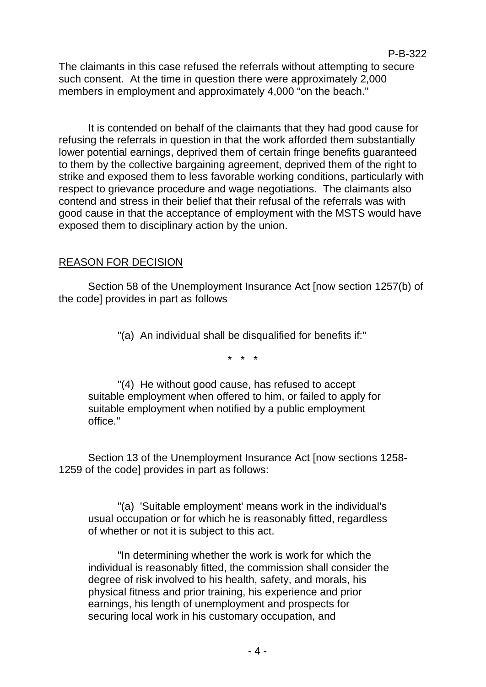The claimants in this case refused the referrals without attempting to secure such consent. At the time in question there were approximately 2,000 members in employment and approximately 4,000 "on the beach."

It is contended on behalf of the claimants that they had good cause for refusing the referrals in question in that the work afforded them substantially lower potential earnings, deprived them of certain fringe benefits guaranteed to them by the collective bargaining agreement, deprived them of the right to strike and exposed them to less favorable working conditions, particularly with respect to grievance procedure and wage negotiations. The claimants also contend and stress in their belief that their refusal of the referrals was with good cause in that the acceptance of employment with the MSTS would have exposed them to disciplinary action by the union.

# REASON FOR DECISION

Section 58 of the Unemployment Insurance Act [now section 1257(b) of the code] provides in part as follows

"(a) An individual shall be disqualified for benefits if:"

\* \* \*

"(4) He without good cause, has refused to accept suitable employment when offered to him, or failed to apply for suitable employment when notified by a public employment office."

Section 13 of the Unemployment Insurance Act [now sections 1258- 1259 of the code] provides in part as follows:

"(a) 'Suitable employment' means work in the individual's usual occupation or for which he is reasonably fitted, regardless of whether or not it is subject to this act.

"In determining whether the work is work for which the individual is reasonably fitted, the commission shall consider the degree of risk involved to his health, safety, and morals, his physical fitness and prior training, his experience and prior earnings, his length of unemployment and prospects for securing local work in his customary occupation, and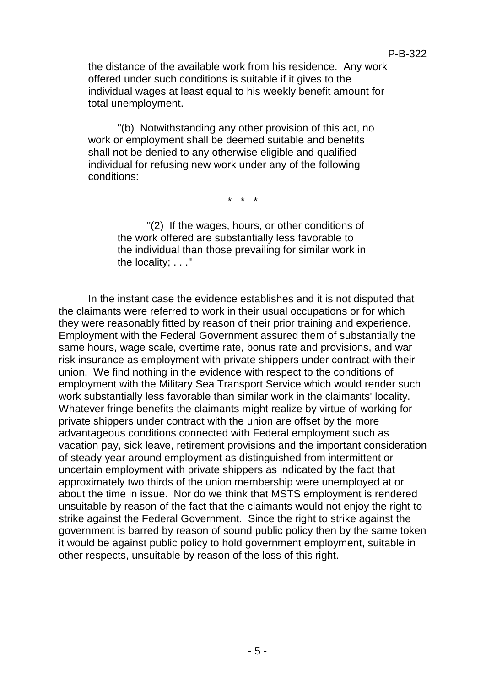the distance of the available work from his residence. Any work offered under such conditions is suitable if it gives to the individual wages at least equal to his weekly benefit amount for total unemployment.

"(b) Notwithstanding any other provision of this act, no work or employment shall be deemed suitable and benefits shall not be denied to any otherwise eligible and qualified individual for refusing new work under any of the following conditions:

\* \* \*

"(2) If the wages, hours, or other conditions of the work offered are substantially less favorable to the individual than those prevailing for similar work in the locality; . . ."

In the instant case the evidence establishes and it is not disputed that the claimants were referred to work in their usual occupations or for which they were reasonably fitted by reason of their prior training and experience. Employment with the Federal Government assured them of substantially the same hours, wage scale, overtime rate, bonus rate and provisions, and war risk insurance as employment with private shippers under contract with their union. We find nothing in the evidence with respect to the conditions of employment with the Military Sea Transport Service which would render such work substantially less favorable than similar work in the claimants' locality. Whatever fringe benefits the claimants might realize by virtue of working for private shippers under contract with the union are offset by the more advantageous conditions connected with Federal employment such as vacation pay, sick leave, retirement provisions and the important consideration of steady year around employment as distinguished from intermittent or uncertain employment with private shippers as indicated by the fact that approximately two thirds of the union membership were unemployed at or about the time in issue. Nor do we think that MSTS employment is rendered unsuitable by reason of the fact that the claimants would not enjoy the right to strike against the Federal Government. Since the right to strike against the government is barred by reason of sound public policy then by the same token it would be against public policy to hold government employment, suitable in other respects, unsuitable by reason of the loss of this right.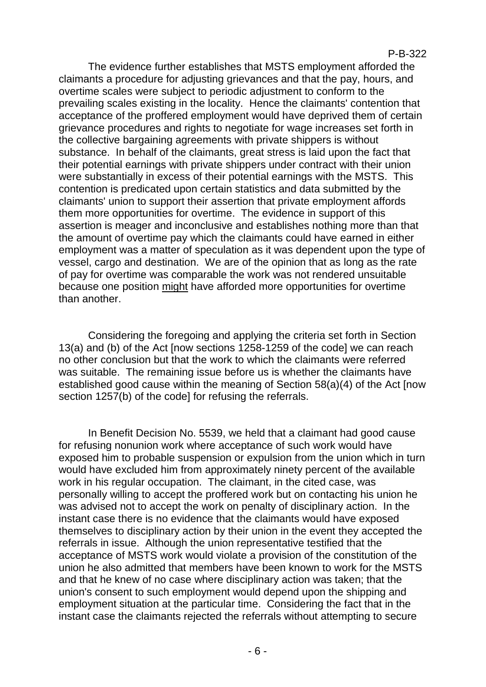#### P-B-322

The evidence further establishes that MSTS employment afforded the claimants a procedure for adjusting grievances and that the pay, hours, and overtime scales were subject to periodic adjustment to conform to the prevailing scales existing in the locality. Hence the claimants' contention that acceptance of the proffered employment would have deprived them of certain grievance procedures and rights to negotiate for wage increases set forth in the collective bargaining agreements with private shippers is without substance. In behalf of the claimants, great stress is laid upon the fact that their potential earnings with private shippers under contract with their union were substantially in excess of their potential earnings with the MSTS. This contention is predicated upon certain statistics and data submitted by the claimants' union to support their assertion that private employment affords them more opportunities for overtime. The evidence in support of this assertion is meager and inconclusive and establishes nothing more than that the amount of overtime pay which the claimants could have earned in either employment was a matter of speculation as it was dependent upon the type of vessel, cargo and destination. We are of the opinion that as long as the rate of pay for overtime was comparable the work was not rendered unsuitable because one position might have afforded more opportunities for overtime than another.

Considering the foregoing and applying the criteria set forth in Section 13(a) and (b) of the Act [now sections 1258-1259 of the code] we can reach no other conclusion but that the work to which the claimants were referred was suitable. The remaining issue before us is whether the claimants have established good cause within the meaning of Section 58(a)(4) of the Act [now section 1257(b) of the code] for refusing the referrals.

In Benefit Decision No. 5539, we held that a claimant had good cause for refusing nonunion work where acceptance of such work would have exposed him to probable suspension or expulsion from the union which in turn would have excluded him from approximately ninety percent of the available work in his regular occupation. The claimant, in the cited case, was personally willing to accept the proffered work but on contacting his union he was advised not to accept the work on penalty of disciplinary action. In the instant case there is no evidence that the claimants would have exposed themselves to disciplinary action by their union in the event they accepted the referrals in issue. Although the union representative testified that the acceptance of MSTS work would violate a provision of the constitution of the union he also admitted that members have been known to work for the MSTS and that he knew of no case where disciplinary action was taken; that the union's consent to such employment would depend upon the shipping and employment situation at the particular time. Considering the fact that in the instant case the claimants rejected the referrals without attempting to secure